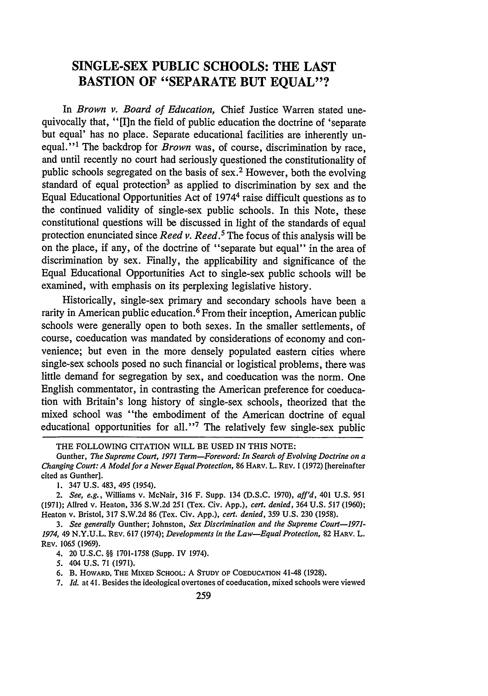# **SINGLE-SEX PUBLIC SCHOOLS: THE LAST BASTION OF "SEPARATE BUT EQUAL"?**

In *Brown v. Board of Education,* Chief Justice Warren stated unequivocally that, "[I]n the field of public education the doctrine of 'separate but equal' has no place. Separate educational facilities are inherently un**equal. ' 1** The backdrop for *Brown* was, of course, discrimination **by** race, and until recently no court had seriously questioned the constitutionality of public schools segregated on the basis of sex. 2 However, both the evolving standard of equal protection<sup>3</sup> as applied to discrimination by sex and the Equal Educational Opportunities Act of 19744 raise difficult questions as to the continued validity of single-sex public schools. In this Note, these constitutional questions will be discussed in light of the standards of equal protection enunciated since *Reed v. Reed. <sup>5</sup>*The focus of this analysis will be on the place, if any, of the doctrine of "separate but equal" in the area of discrimination **by** sex. Finally, the applicability and significance of the Equal Educational Opportunities Act to single-sex public schools will be examined, with emphasis on its perplexing legislative history.

Historically, single-sex primary and secondary schools have been a rarity in American public education.<sup> $\delta$ </sup> From their inception, American public schools were generally open to both sexes. In the smaller settlements, of course, coeducation was mandated **by** considerations of economy and convenience; but even in the more densely populated eastern cities where single-sex schools posed no such financial or logistical problems, there was little demand for segregation **by** sex, and coeducation was the norm. One English commentator, in contrasting the American preference for coeducation with Britain's long history of single-sex schools, theorized that the mixed school was "the embodiment of the American doctrine of equal educational opportunities for all."<sup>7</sup> The relatively few single-sex public

**1.** 347 **U.S.** 483, *495* (1954).

*2. See, e.g.,* Williams v. McNair, **316** F. Supp. 134 **(D.S.C. 1970),** *aff'd,* 401 **U.S. 951 (1971);** Allred v. Heaton, **336 S.W.2d 251** (Tex. Civ. **App.),** *cert. denied,* 364 **U.S. 517 (1960);** Heaton v. Bristol, **317 S.W.2d 86** (Tex. Civ. **App.),** *cert. denied,* **359 U.S. 230 (1958).**

*3. See generally* Gunther; Johnston, *Sex Discrimination and the Supreme Court-1971- 1974,* 49 **N.Y.U.L. REv. 617** (1974); *Developments in the Law-Equal Protection,* **82** HARV. L. REV. **1065 (1969).**

4. 20 **U.S.C.** §§ **1701-1758** (Supp. IV 1974).

**5.** 404 **U.S. 71 (1971).**

**6.** B. HOWARD, THE MIXED **SCHOOL:** A **STUDY OF COEDUCATION** 41-48 **(1928).**

7. *Id.* at 41. Besides the ideological overtones of coeducation, mixed schools were viewed

THE FOLLOWING **CITATION** WILL BE **USED IN** THIS **NOTE:**

Gunther, *The Supreme Court, 1971 Term-Foreword: In Search of Evolving Doctrine on a Changing Court: A Modelfor a Newer Equal Protection,* **86** HARv. L. **REV. 1 (1972)** [hereinafter cited as Gunther].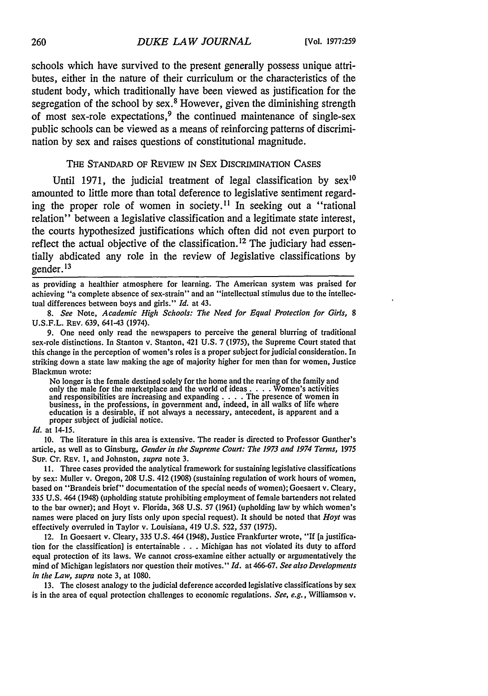schools which have survived to the present generally possess unique attributes, either in the nature of their curriculum or the characteristics of the student body, which traditionally have been viewed as justification for the segregation of the school **by** sex. 8 However, given the diminishing strength of most sex-role expectations,<sup>9</sup> the continued maintenance of single-sex public schools can be viewed as a means of reinforcing patterns of discrimination **by** sex and raises questions of constitutional magnitude.

### THE STANDARD OF REVIEW IN SEX DISCRIMINATION CASES

Until 1971, the judicial treatment of legal classification by  $sex^{10}$ amounted to little more than total deference to legislative sentiment regarding the proper role of women in society.<sup>11</sup> In seeking out a "rational" relation" between a legislative classification and a legitimate state interest, the courts hypothesized justifications which often did not even purport to reflect the actual objective of the classification. 12 The judiciary had essentially abdicated any role in the review of legislative classifications **by** gender. **13**

as providing a healthier atmosphere for learning. The American system was praised for achieving "a complete absence of sex-strain" and an "intellectual stimulus due to the intellectual differences between boys and girls." *Id.* at 43.

*8. See* Note, *Academic High Schools: The Need for Equal Protection for Girls, 8* **U.S.F.L.** REV. **639,** 641-43 (1974).

**9.** One need only read the newspapers to perceive the general blurring of traditional sex-role distinctions. In Stanton v. Stanton, 421 **U.S. 7 (1975),** the Supreme Court stated that this change in the perception of women's roles is a proper subject for judicial consideration. In striking down a state law making the age of majority higher for men than for women, Justice Blackmun wrote:

No longer is the female destined solely for the home and the rearing of the family and<br>only the male for the marketplace and the world of ideas . . . . Women's activities<br>and responsibilities are increasing and expanding . business, in the professions, in government and, indeed, in all walks of life where education is a desirable, if not always a necessary, antecedent, is apparent and a proper subject of judicial notice.

#### *Id.* at 14-15.

**10.** The literature in this area is extensive. The reader is directed to Professor Gunther's article, as well as to Ginsburg, *Gender in the Supreme Court: The 1973 and 1974 Terms,* **1975** Sup. **CT. REV. I,** and Johnston, *supra* note **3.**

**11.** Three cases provided the analytical framework for sustaining legislative classifications **by** sex: Muller v. Oregon, **208 U.S.** 412 **(1908)** (sustaining regulation of work hours of women, based on "Brandeis brief" documentation of the special needs of women); Goesaert v. Cleary, **335 U.S.** 464 (1948) (upholding statute prohibiting employment of female bartenders not related to the bar owner); and Hoyt v. Florida, **368 U.S. 57 (1961)** (upholding law **by** which women's names were placed on jury lists only upon special request). It should be noted that *Hoyt* was effectively overruled in Taylor v. Louisiana, 419 **U.S. 522, 537 (1975).**

12. In Goesaert v. Cleary, **335 U.S.** 464 (1948), Justice Frankfurter wrote, "If [a justification for the classification] is entertainable **. . .** Michigan has not violated its duty to afford equal protection of its laws. We cannot cross-examine either actually or argumentatively the mind of Michigan legislators nor question their motives." *Id.* at **466-67.** *See also Developments in the Law, supra* note **3,** at **1080.**

**13.** The closest analogy to the judicial deference accorded legislative classifications **by** sex is in the area of equal protection challenges to economic regulations. *See, e.g.,* Williamson v.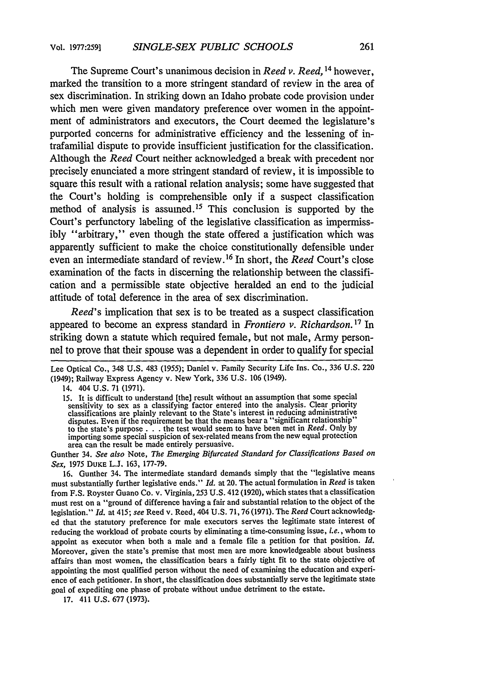The Supreme Court's unanimous decision in *Reed v. Reed, <sup>14</sup>*however, marked the transition to a more stringent standard of review in the area of sex discrimination. In striking down an Idaho probate code provision under which men were given mandatory preference over women in the appointment of administrators and executors, the Court deemed the legislature's purported concerns for administrative efficiency and the lessening of intrafamilial dispute to provide insufficient justification for the classification. Although the *Reed* Court neither acknowledged a break with precedent nor precisely enunciated a more stringent standard of review, it is impossible to square this result with a rational relation analysis; some have suggested that the Court's holding is comprehensible only if a suspect classification method of analysis is assumed. 5 This conclusion is supported **by** the Court's perfunctory labeling of the legislative classification as impermissibly "arbitrary," even though the state offered a justification which was apparently sufficient to make the choice constitutionally defensible under even an intermediate standard of review. 16 In short, the *Reed* Court's close examination of the facts in discerning the relationship between the classification and a permissible state objective heralded an end to the judicial attitude of total deference in the area of sex discrimination.

*Reed's* implication that sex is to be treated as a suspect classification appeared to become an express standard in *Frontiero v. Richardson. 1 <sup>7</sup>*In striking down a statute which required female, but not male, Army personnel to prove that their spouse was a dependent in order to qualify for special

Gunther 34. *See also* Note, *The Emerging Bifurcated Standard for Classifications Based on Sex,* 1975 DuKE L.J. 163, 177-79.

16. Gunther 34. The intermediate standard demands simply that the "legislative means must substantially further legislative ends." *Id.* at 20. The actual formulation in *Reed* is taken from F.S. Royster Guano Co. v. Virginia, 253 U.S. 412 (1920), which states that a classification must rest on a "ground of difference having a fair and substantial relation to the object of the legislation." *Id.* at 415; see Reed v. Reed, 404 U.S. 71,76 (1971). The *Reed* Court acknowledged that the statutory preference for male executors serves the legitimate state interest of reducing the workload of probate courts by eliminating a time-consuming issue, *i.e.,* whom to appoint as executor when both a male and a female file a petition for that position. *Id.* Moreover, given the state's premise that most men are more knowledgeable about business affairs than most women, the classification bears a fairly tight fit to the state objective of appointing the most qualified person without the need of examining the education and experience of each petitioner. In short, the classification does substantially serve the legitimate state goal of expediting one phase of probate without undue detriment to the estate.

Lee Optical Co., 348 U.S. 483 (1955); Daniel v. Family Security Life Ins. Co., 336 U.S. 220 (1949); Railway Express Agency v. New York, 336 U.S. 106 (1949).

<sup>14. 404</sup> U.S. 71 (1971).

<sup>15.</sup> It is difficult to understand [the] result without an assumption that some special sensitivity to sex as a classifying factor entered into the analysis. Clear priority classifications are plainly relevant to the State' disputes. Even if the requirement be that the means bear a "significant relationship" to the state's purpose. **. .** the test would seem to have been met in *Reed.* Only by importing some special suspicion of sex-related means from the new equal protection area can the result be made entirely persuasive.

<sup>17. 411</sup> U.S. 677 (1973).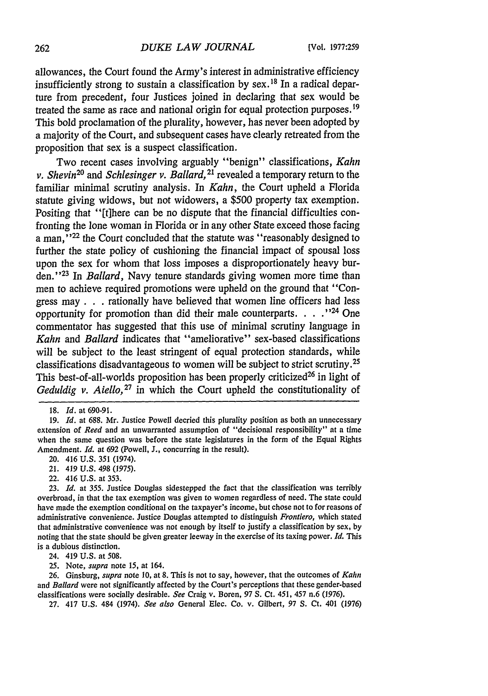allowances, the Court found the Army's interest in administrative efficiency insufficiently strong to sustain a classification by sex. **IS** In a radical departure from precedent, four Justices joined in declaring that sex would be treated the same as race and national origin for equal protection purposes. <sup>19</sup> This bold proclamation of the plurality, however, has never been adopted by a majority of the Court, and subsequent cases have clearly retreated from the proposition that sex is a suspect classification.

Two recent cases involving arguably "benign" classifications, *Kahn v. Shevin20* and *Schlesinger v. Ballard,* **21** revealed a temporary return to the familiar minimal scrutiny analysis. In *Kahn,* the Court upheld a Florida statute giving widows, but not widowers, a \$500 property tax exemption. Positing that "[t]here can be no dispute that the financial difficulties confronting the lone woman in Florida or in any other State exceed those facing a man,"<sup>22</sup> the Court concluded that the statute was "reasonably designed to further the state policy of cushioning the financial impact of spousal loss upon the sex for whom that loss imposes a disproportionately heavy burden." 23 In *Ballard,* Navy tenure standards giving women more time than men to achieve required promotions were upheld on the ground that "Congress may **. . .** rationally have believed that women line officers had less opportunity for promotion than did their male counterparts. **...** 24 One commentator has suggested that this use of minimal scrutiny language in *Kahn* and *Ballard* indicates that "ameliorative" sex-based classifications will be subject to the least stringent of equal protection standards, while classifications disadvantageous to women will be subject to strict scrutiny. <sup>25</sup> This best-of-all-worlds proposition has been properly criticized<sup>26</sup> in light of *Geduldig v. Aiello*,<sup>27</sup> in which the Court upheld the constitutionality of

- 21. 419 U.S. 498 (1975).
- 22. 416 U.S. at 353.

23. *Id.* at 355. Justice Douglas sidestepped the fact that the classification was terribly overbroad, in that the tax exemption was given to women regardless of need. The state could have made the exemption conditional on the taxpayer's income, but chose not to for reasons of administrative convenience. Justice Douglas attempted to distinguish *Frontiero,* which stated that administrative convenience was not enough by itself to justify a classification by sex, by noting that the state should be given greater leeway in the exercise of its taxing power. *Id.* This is a dubious distinction.

24. 419 U.S. at 508.

**25.** Note, *supra* note **15,** at 164.

26. Ginsburg, *supra* note **10,** at 8. This is not to say, however, that the outcomes of *Kahn* and *Ballard* were not significantly affected **by** the Court's perceptions that these gender-based classifications were socially desirable. *See* Craig v. Boren, 97 S. Ct. 451, 457 n.6 (1976).

27. 417 U.S. 484 (1974). *See also* General Elec. Co. v. Gilbert, 97 S. Ct. 401 (1976)

<sup>18.</sup> *Id.* at 690-91.

<sup>19.</sup> *Id.* at 688. Mr. Justice Powell decried this plurality position as both an unnecessary extension of *Reed* and an unwarranted assumption of "decisional responsibility" at a time when the same question was before the state legislatures in the form of the Equal Rights Amendment. *Id.* at 692 (Powell, J., concurring in the result).

<sup>20. 416</sup> U.S. 351 (1974).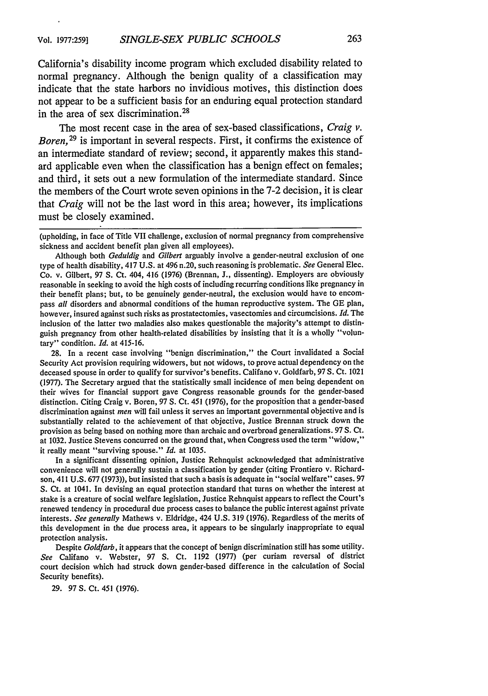California's disability income program which excluded disability related to normal pregnancy. Although the benign quality of a classification may indicate that the state harbors no invidious motives, this distinction does not appear to **be** a sufficient basis for an enduring equal protection standard in the area of sex discrimination. <sup>28</sup>

The most recent case in the area of sex-based classifications, *Craig v. Boren,29* is important in several respects. First, it confirms the existence of an intermediate standard of review; second, it apparently makes this standard applicable even when the classification has a benign effect on females; and third, it sets out a new formulation of the intermediate standard. Since the members of the Court wrote seven opinions in the **7-2** decision, it is clear that *Craig* will not be the last word in this area; however, its implications must be closely examined.

Although both *Geduldig* and *Gilbert* arguably involve a gender-neutral exclusion of one type of health disability, 417 U.S. at 496 n.20, such reasoning is problematic. *See* General Elec. Co. v. Gilbert, 97 **S.** Ct. 404, 416 (1976) (Brennan, J., dissenting). Employers are obviously reasonable in seeking to avoid the high costs of including recurring conditions like pregnancy in their benefit plans; but, to be genuinely gender-neutral, the exclusion would have to encompass *all* disorders and abnormal conditions of the human reproductive system. The GE plan, however, insured against such risks as prostatectomies, vasectomies and circumcisions. *Id.* The inclusion of the latter two maladies also makes questionable the majority's attempt to distinguish pregnancy from other health-related disabilities by insisting that it is a wholly "voluntary" condition. *Id.* at 415-16.

28. In a recent case involving "benign discrimination," the Court invalidated a Social Security Act provision requiring widowers, but not widows, to prove actual dependency on the deceased spouse in order to qualify for survivor's benefits. Califano v. Goldfarb, 97 S. Ct. 1021 (1977). The Secretary argued that the statistically small incidence of men being dependent on their wives for financial support gave Congress reasonable grounds for the gender-based distinction. Citing Craig v. Boren, 97 **S.** Ct. 451 (1976), for the proposition that a gender-based discrimination against *men* will fail unless it serves an important governmental objective and is substantially related to the achievement of that objective, Justice Brennan struck down the provision as being based on nothing more than archaic and overbroad generalizations. 97 S. Ct. at 1032. Justice Stevens concurred on the ground that, when Congress used the term "widow," it really meant "surviving spouse." *Id.* at 1035.

In a significant dissenting opinion, Justice Rehnquist acknowledged that administrative convenience will not generally sustain a classification by gender (citing Frontiero v. Richardson, 411 U.S. 677 (1973)), but insisted that such a basis is adequate in "social welfare" cases. 97 S. Ct. at 1041. In devising an equal protection standard that turns on whether the interest at stake is a creature of social welfare legislation, Justice Rehnquist appears to reflect the Court's renewed tendency in procedural due process cases to balance the public interest against private interests. *See generally* Mathews v. Eldridge, 424 U.S. 319 (1976). Regardless of the merits of this development in the due process area, it appears to be singularly inappropriate to equal protection analysis.

Despite *Goldfarb,* it appears that the concept of benign discrimination still has some utility. *See* Califano v. Webster, 97 **S.** Ct. 1192 (1977) (per curiam reversal of district court decision which had struck down gender-based difference in the calculation of Social Security benefits).

29. 97 **S.** Ct. 451 (1976).

<sup>(</sup>upholding, in face of Title VII challenge, exclusion of normal pregnancy from comprehensive sickness and accident benefit plan given all employees).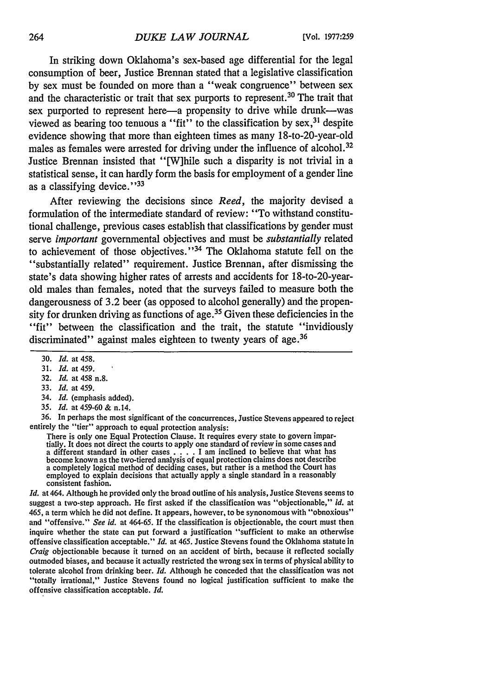In striking down Oklahoma's sex-based age differential for the legal consumption of beer, Justice Brennan stated that a legislative classification by sex must be founded on more than a "weak congruence" between sex and the characteristic or trait that sex purports to represent.<sup>30</sup> The trait that sex purported to represent here-a propensity to drive while drunk--was viewed as bearing too tenuous a "fit" to the classification by  $sex$ ,  $31$  despite evidence showing that more than eighteen times as many 18-to-20-year-old males as females were arrested for driving under the influence of alcohol.<sup>32</sup> Justice Brennan insisted that "[W]hile such a disparity is not trivial in a statistical sense, it can hardly form the basis for employment of a gender line as a classifying device."<sup>33</sup>

After reviewing the decisions since *Reed,* the majority devised a formulation of the intermediate standard of review: "To withstand constitutional challenge, previous cases establish that classifications by gender must serve *important* governmental objectives and must be *substantially* related to achievement of those objectives."<sup>34</sup> The Oklahoma statute fell on the "substantially related" requirement. Justice Brennan, after dismissing the state's data showing higher rates of arrests and accidents for 18-to-20-yearold males than females, noted that the surveys failed to measure both the dangerousness of 3.2 beer (as opposed to alcohol generally) and the propensity for drunken driving as functions of age.<sup>35</sup> Given these deficiencies in the "fit" between the classification and the trait, the statute "invidiously" discriminated" against males eighteen to twenty years of age.<sup>36</sup>

- 32. *Id.* at 458 n.8.
- 33. *Id.* at 459.
- 34. *Id.* (emphasis added).
- 35. *Id.* at 459-60 **&** n.14.

36. In perhaps the most significant of the concurrences, Justice Stevens appeared to reject entirely the "tier" approach to equal protection analysis:

There is only one Equal Protection Clause. It requires every state to govern impartially. It does not direct the courts to apply one standard of review in some cases and a different standard in other cases  $\dots$ . I am incl a completely logical method of deciding cases, but rather is a method the Court has employed to explain decisions that actually apply a single standard in a reasonably consistent fashion.

*Id.* at 464. Although he provided only the broad outline of his analysis, Justice Stevens seems to suggest a two-step approach. He first asked if the classification was "objectionable," *id.* at 465, a term which he did not define. It appears, however, to be synonomous with "obnoxious" and "offensive." *See id.* at 464-65. If the classification is objectionable, the court must then inquire whether the state can put forward a justification "sufficient to make an otherwise offensive classification acceptable." *Id.* at 465. Justice Stevens found the Oklahoma statute in *Craig* objectionable because it turned on an accident of birth, because it reflected socially outmoded biases, and because it actually restricted the wrong sex in terms of physical ability to tolerate alcohol from drinking beer. *Id.* Although he conceded that the classification was not "totally irrational," Justice Stevens found no logical justification sufficient to make the offensive classification acceptable. *Id.*

<sup>30.</sup> *Id.* at 458.

<sup>31.</sup> *Id.* at459.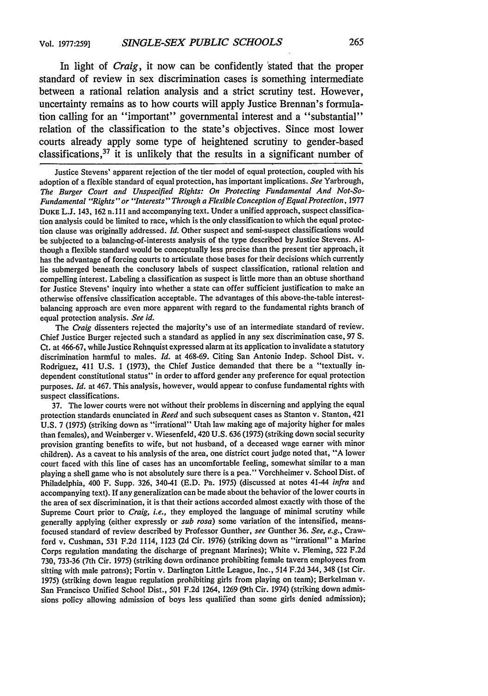In light of *Craig,* it now can be confidently 'stated that the proper standard of review in sex discrimination cases is something intermediate between a rational relation analysis and a strict scrutiny test. However, uncertainty remains as to how courts will apply Justice Brennan's formulation calling for an "important" governmental interest and a "substantial" relation of the classification to the state's objectives. Since most lower courts already apply some type of heightened scrutiny to gender-based classifications,  $37$  it is unlikely that the results in a significant number of

Justice Stevens' apparent rejection of the tier model of equal protection, coupled with his adoption of a flexible standard of equal protection, has important implications. *See* Yarbrough, *The Burger Court and Unspecified Rights: On Protecting Fundamental And Not-So-Fundamental "Rights" or "Interests" Through a Flexible Conception of Equal Protection,* <sup>1977</sup> **DUKE** L.J. 143, 162 n. 111 and accompanying text. Under a unified approach, suspect classification analysis could be limited to race, which is the only classification to which the equal protection clause was originally addressed. *Id.* Other suspect and semi-suspect classifications would be subjected to a balancing-of-interests analysis of the type described by Justice Stevens. Although a flexible standard would be conceptually less precise than the present tier approach, it has the advantage of forcing courts to articulate those bases for their decisions which currently lie submerged beneath the conclusory labels of suspect classification, rational relation and compelling interest. Labeling a classification as suspect is little more than an obtuse shorthand for Justice Stevens' inquiry into whether a state can offer sufficient justification to make an otherwise offensive classification acceptable. The advantages of this above-the-table interestbalancing approach are even more apparent with regard to the fundamental rights branch of equal protection analysis. *See id.*

The *Craig* dissenters rejected the majority's use of an intermediate standard of review. Chief Justice Burger rejected such a standard as applied in any sex discrimination case, 97 **S.** Ct. at 466-67, while Justice Rehnquist expressed alarm at its application to invalidate a statutory discrimination harmful to males. *Id.* at 468-69. Citing San Antonio Indep. School Dist. v. Rodriguez, 411 U.S. 1 (1973), the Chief Justice demanded that there be a "textually independent constitutional status" in order to afford gender any preference for equal protection purposes. *Id.* at 467. This analysis, however, would appear to confuse fundamental rights with suspect classifications.

37. The lower courts were not without their problems in discerning and applying the equal protection standards enunciated in *Reed* and such subsequent cases as Stanton v. Stanton, 421 U.S. 7 (1975) (striking down as "irrational" Utah law making age of majority higher for males than females), and Weinberger v. Wiesenfeld, 420 U.S. 636 (1975) (striking down social security provision granting benefits to wife, but not husband, of a deceased wage earner with minor children). As a caveat to his analysis of the area, one district court judge noted that, "A lower court faced with this line of cases has an uncomfortable feeling, somewhat similar to a man playing a shell game who is not absolutely sure there is a pea." Vorchheimer v. School Dist. of Philadelphia, 400 F. Supp. 326, 340-41 (E.D. Pa. 1975) (discussed at notes 41-44 *infra* and accompanying text). If any generalization can be made about the behavior of the lower courts in the area of sex discrimination, it is that their actions accorded almost exactly with those of the Supreme Court prior to *Craig, i.e.,* they employed the language of minimal scrutiny while generally applying (either expressly or *sub rosa)* some variation of the intensified, meansfocused standard of review described by Professor Gunther, *see* Gunther 36. *See, e.g.,* Crawford v. Cushman, 531 F.2d 1114, 1123 (2d Cir. 1976) (striking down as "irrational" a Marine Corps regulation mandating the discharge of pregnant Marines); White v. Fleming, 522 F.2d 730, 733-36 (7th Cir. 1975) (striking down ordinance prohibiting female tavern employees from sitting with male patrons); Fortin v. Darlington Little League, Inc., 514 F.2d 344, 348 (Ist Cir. 1975) (striking down league regulation prohibiting girls from playing on team); Berkelman v. San Francisco Unified School Dist., 501 F.2d 1264, 1269 (9th Cir. 1974) (striking down admissions policy allowing admission of boys less qualified than some girls denied admission);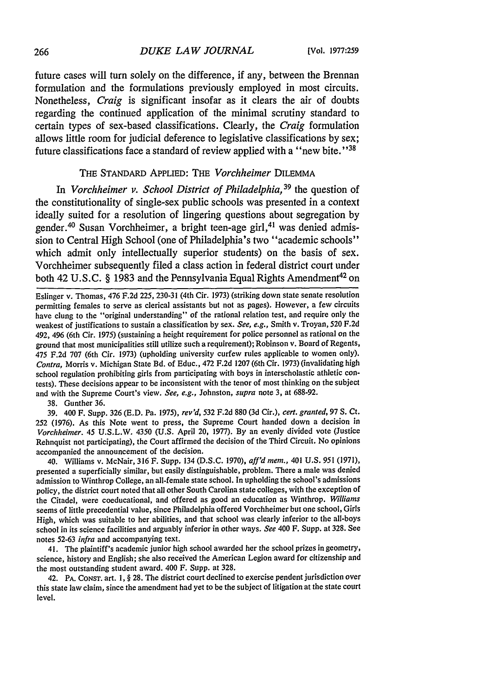future cases will turn solely on the difference, if any, between the Brennan formulation and the formulations previously employed in most circuits. Nonetheless, *Craig* is significant insofar as it clears the air of doubts regarding the continued application of the minimal scrutiny standard to certain types of sex-based classifications. Clearly, the *Craig* formulation allows little room for judicial deference to legislative classifications by sex; future classifications face a standard of review applied with a "new bite."<sup>38</sup>

#### THE STANDARD APPLIED: THE *Vorchheimer* DILEMMA

In *Vorchheimer v. School District of Philadelphia*, <sup>39</sup> the question of the constitutionality of single-sex public schools was presented in a context ideally suited for a resolution of lingering questions about segregation by gender.<sup>40</sup> Susan Vorchheimer, a bright teen-age girl,<sup>41</sup> was denied admission to Central High School (one of Philadelphia's two "academic schools" which admit only intellectually superior students) on the basis of sex. Vorchheimer subsequently filed a class action in federal district court under both 42 U.S.C. § 1983 and the Pennsylvania Equal Rights Amendment<sup>42</sup> on

Eslinger v. Thomas, 476 F.2d 225, 230-31 (4th Cir. 1973) (striking down state senate resolution permitting females to serve as clerical assistants but not as pages). However, a few circuits have clung to the "original understanding" of the rational relation test, and require only the weakest of justifications to sustain a classification by sex. *See, e.g.,* Smith v. Troyan, 520 F.2d 492, 496 (6th Cir. 1975) (sustaining a height requirement for police personnel as rational on the ground that most municipalities still utilize such a requirement); Robinson v. Board of Regents, 475 F.2d 707 (6th Cir. 1973) (upholding university curfew rules applicable to women only). *Contra,* Morris v. Michigan State Bd. of Educ., 472 F.2d 1207 (6th Cir. 1973) (invalidating high school regulation prohibiting girls from participating with boys in interscholastic athletic contests). These decisions appear to be inconsistent with the tenor of most thinking on the subject and with the Supreme Court's view. *See, e.g.,* Johnston, *supra* note 3, at 688-92.

38. Gunther 36.

**39.** 400 F. Supp. 326 **(E.D.** Pa. 1975), *rev'd,* 532 F.2d 880 **(3d** Cir.), *cert. granted,* **97 S.** Ct. 252 (1976). As this Note went to press, the Supreme Court handed down a decision in *Vorchheimer.* 45 U.S.L.W. 4350 (U.S. April 20, 1977). By an evenly divided vote (Justice Rehnquist not participating), the Court affirmed the decision of the Third Circuit. No opinions accompanied the announcement of the decision.

40. Williams v. McNair, 316 F. Supp. 134 (D.S.C. 1970), *aff'd mem.,* 401 U.S. 951 (1971), presented a superficially similar, but easily distinguishable, problem. There a male was denied admission to Winthrop College, an all-female state school. In upholding the school's admissions policy, the district court noted that all other South Carolina state colleges, with the exception of the Citadel, were coeducational, and offered as good an education as Winthrop. *Williams* seems of little precedential value, since Philadelphia offered Vorchheimer but one school, Girls High, which was suitable to her abilities, and that school was clearly inferior to the all-boys school in its science facilities and arguably inferior in other ways. *See* 400 F. Supp. at 328. See notes 52-63 *infra* and accompanying text.

41. The plaintiff's academic junior high school awarded her the school prizes in geometry, science, history and English; she also received the American Legion award for citizenship and the most outstanding student award. 400 F. Supp. at 328.

42. PA. CONST. art. 1, § 28. The district court declined to exercise pendent jurisdiction over this state law claim, since the amendment had yet to be the subject of litigation at the state court level.

266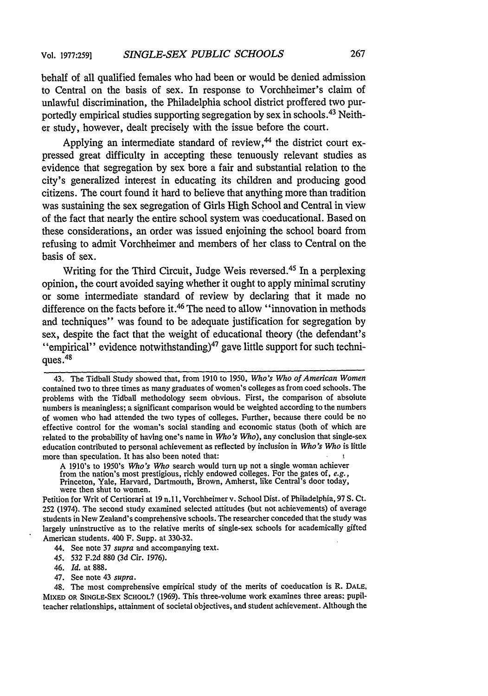behalf of all qualified females who had been or would be denied admission to Central on the basis of sex. In response to Vorchheimer's claim of unlawful discrimination, the Philadelphia school district proffered two purportedly empirical studies supporting segregation by sex in schools. 43 Neither study, however, dealt precisely with the issue before the court.

Applying an intermediate standard of review, $44$  the district court expressed great difficulty in accepting these tenuously relevant studies as evidence that segregation by sex bore a fair and substantial relation to the city's generalized interest in educating its children and producing good citizens. The court found it hard to believe that anything more than tradition was sustaining the sex segregation of Girls High School and Central in view of the fact that nearly the entire school system was coeducational. Based on these considerations, an order was issued enjoining the school board from refusing to admit Vorchheimer and members of her class to Central on the basis of sex.

Writing for the Third Circuit, Judge Weis reversed.<sup>45</sup> In a perplexing opinion, the court avoided saying whether it ought to apply minimal scrutiny or some intermediate standard of review by declaring that it made no difference on the facts before it.<sup>46</sup> The need to allow "innovation in methods and techniques" was found to be adequate justification for segregation by sex, despite the fact that the weight of educational theory (the defendant's "empirical" evidence notwithstanding) $^{47}$  gave little support for such techniques.<sup>48</sup>

Petition for Writ of Certiorari at 19 n. **11,** Vorchheimer v. School Dist. of Philadelphia, 97 S. Ct. 252 (1974). The second study examined selected attitudes (but not achievements) of average students in New Zealand's comprehensive schools. The researcher conceded that the study was largely uninstructive as to the relative merits of single-sex schools for academically gifted American students. 400 F. Supp. at 330-32.

44. See note 37 *supra* and accompanying text.

*45. 532* F.2d 880 (3d Cir. 1976).

- 46. *Id.* at 888.
- 47. See note 43 *supra.*

48. The most comprehensive empirical study of the merits of coeducation is R. **DALE,** MIXED OR **SINGLE-SEX SCHOOL?** (1969). This three-volume work examines three areas: pupilteacher relationships, attainment of societal objectives, and student achievement. Although the

<sup>43.</sup> The Tidball Study showed that, from 1910 to 1950, *Who's Who of American Women* contained two to three times as many graduates of women's colleges as from coed schools. The problems with the Tidball methodology seem obvious. First, the comparison of absolute numbers is meaningless; a significant comparison would be weighted according to the numbers of women who had attended the two types of colleges. Further, because there could be no effective control for the woman's social standing and economic status (both of which are related to the probability of having one's name in *Who's Who),* any conclusion that single-sex education contributed to personal achievement as reflected by inclusion in *Who's Who* is little more than speculation. It has also been noted that:

A 1910's to 1950's *Who's Who* search would turn up not a single woman achiever from the nation's most prestigious, richly endowed colleges. For the gates of, *e.g.,* Princeton, Yale, Harvard, Dartmouth, Brown, Amherst, like Central's door today, were then shut to women.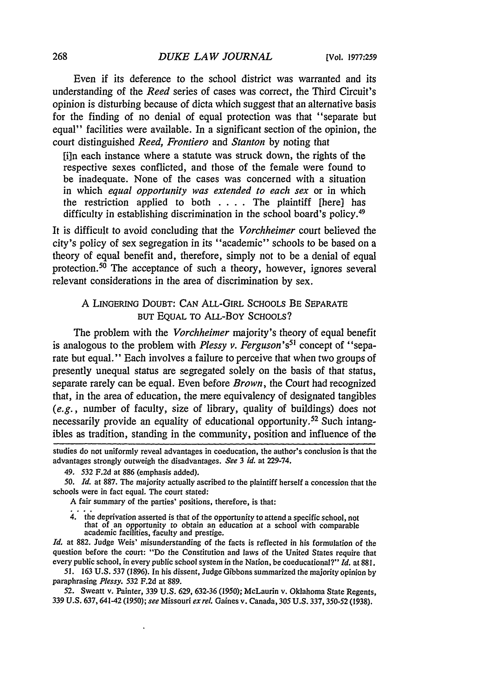Even if its deference to the school district was warranted and its understanding of the *Reed* series of cases was correct, the Third Circuit's opinion is disturbing because of dicta which suggest that an alternative basis for the finding of no denial of equal protection was that "separate but equal" facilities were available. In a significant section of the opinion, the court distinguished *Reed, Frontiero* and *Stanton* by noting that

[i]n each instance where a statute was struck down, the rights of the respective sexes conflicted, and those of the female were found to be inadequate. None of the cases was concerned with a situation in which *equal opportunity was extended to each sex* or in which the restriction applied to both . **. .** . The plaintiff [here] has difficulty in establishing discrimination in the school board's policy.<sup>49</sup>

It is difficult to avoid concluding that the *Vorchheimer* court believed the city's policy of sex segregation in its "academic" schools to be based on a theory of equal benefit and, therefore, simply not to be a denial of equal protection.<sup>50</sup> The acceptance of such a theory, however, ignores several relevant considerations in the area of discrimination by sex.

## A LINGERING DOUBT: CAN ALL-GIRL SCHOOLS BE SEPARATE BUT EQUAL TO ALL-Boy SCHOOLS?

The problem with the *Vorchheimer* majority's theory of equal benefit is analogous to the problem with *Plessy v. Ferguson's5'* concept of "separate but equal." Each involves a failure to perceive that when two groups of presently unequal status are segregated solely on the basis of that status, separate rarely can be equal. Even before *Brown,* the Court had recognized that, in the area of education, the mere equivalency of designated tangibles *(e.g.,* number of faculty, size of library, quality of buildings) does not necessarily provide an equality of educational opportunity.<sup>52</sup> Such intangibles as tradition, standing in the community, position and influence of the

4. the deprivation asserted is that of the opportunity to attend a specific school, not that of an opportunity to obtain an education at a school with comparable academic facilities, faculty and prestige.

*Id.* at 882. Judge Weis' misunderstanding of the facts is reflected in his formulation of the question before the court: "Do the Constitution and laws of the United States require that every public school, in every public school system in the Nation, be coeducational?" *Id.* at 881.

51. 163 U.S. 537 (1896). In his dissent, Judge Gibbons summarized the majority opinion **by** paraphrasing *Plessy. 532* F.2d at 889.

52. Sweatt v. Painter, 339 U.S. 629, 632-36 (1950); McLaurin v. Oklahoma State Regents, 339 U.S. 637, 641-42 (1950); see Missouri *exrel.* Gaines v. Canada, 305 U.S. 337, 350-52 (1938).

studies do not uniformly reveal advantages in coeducation, the author's conclusion is that the advantages strongly outweigh the disadvantages. *See 3 id.* at 229-74.

<sup>49.</sup> *532* F.2d at 886 (emphasis added).

*<sup>50.</sup> Id.* at 887. The majority actually ascribed to the plaintiff herself a concession that the schools were in fact equal. The court stated:

A fair summary of the parties' positions, therefore, is that: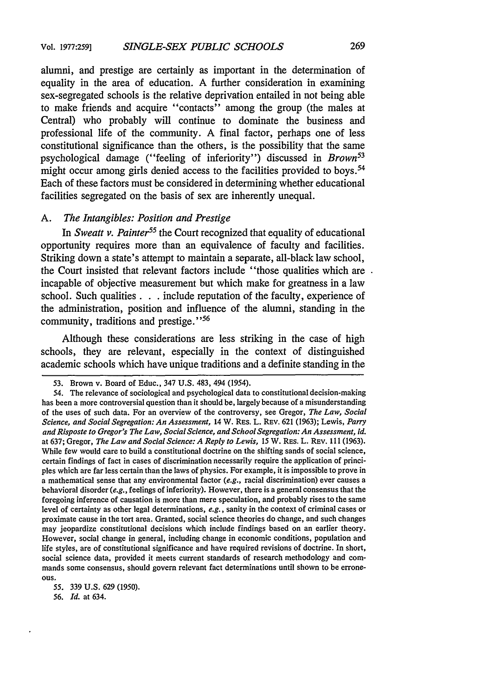alumni, and prestige are certainly as important in the determination of equality in the area of education. A further consideration in examining sex-segregated schools is the relative deprivation entailed in not being able to make friends and acquire "contacts" among the group (the males at Central) who probably will continue to dominate the business and professional life of the community. A final factor, perhaps one of less constitutional significance than the others, is the possibility that the same psychological damage ("feeling of inferiority") discussed in *Brown53* might occur among girls denied access to the facilities provided to boys.<sup>54</sup> Each of these factors must be considered in determining whether educational facilities segregated on the basis of sex are inherently unequal.

#### *A. The Intangibles: Position and Prestige*

In *Sweatt v. Painter55* the Court recognized that equality of educational opportunity requires more than an equivalence of faculty and facilities. Striking down a state's attempt to maintain a separate, all-black law school, the Court insisted that relevant factors include "those qualities which are. incapable of objective measurement but which make for greatness in a law school. Such qualities. **. .** include reputation of the faculty, experience of the administration, position and influence of the alumni, standing in the community, traditions and prestige."<sup>56</sup>

Although these considerations are less striking in the case of high schools, they are relevant, especially in the context of distinguished academic schools which have unique traditions and a definite standing in the

**56.** *Id.* at 634.

<sup>53.</sup> Brown v. Board of Educ., 347 U.S. 483, 494 (1954).

<sup>54.</sup> The relevance of sociological and psychological data to constitutional decision-making has been a more controversial question than it should be, largely because of a misunderstanding of the uses of such data. For an overview of the controversy, see Gregor, *The Law, Social Science, and Social Segregation: An Assessment,* 14 W. RES. L. REV. 621 (1963); Lewis, *Parry and Risposte to Gregor's The Law, Social Science, and School Segregation: An Assessment, id.* at 637; Gregor, *The Law and Social Science: A Reply to Lewis,* 15 W. RES. L. REV. 111 (1963). While few would care to build a constitutional doctrine on the shifting sands of social science, certain findings of fact in cases of discrimination necessarily require the application of principles which are far less certain than the laws of physics. For example, it is impossible to prove in a mathematical sense that any environmental factor  $(e.g.,$  racial discrimination) ever causes a behavioral disorder *(e.g.,* feelings of inferiority). However, there is a general consensus that the foregoing inference of causation is more than mere speculation, and probably rises to the same level of certainty as other legal determinations, *e.g.,* sanity in the context of criminal cases or proximate cause in the tort area. Granted, social science theories do change, and such changes may jeopardize constitutional decisions which include findings based on an earlier theory. However, social change in general, including change in economic conditions, population and life styles, are of constitutional significance and have required revisions of doctrine. In short, social science data, provided it meets current standards of research methodology and commands some consensus, should govern relevant fact determinations until shown to be errone**ous.**

*<sup>55.</sup>* **339 U.S. 629 (1950).**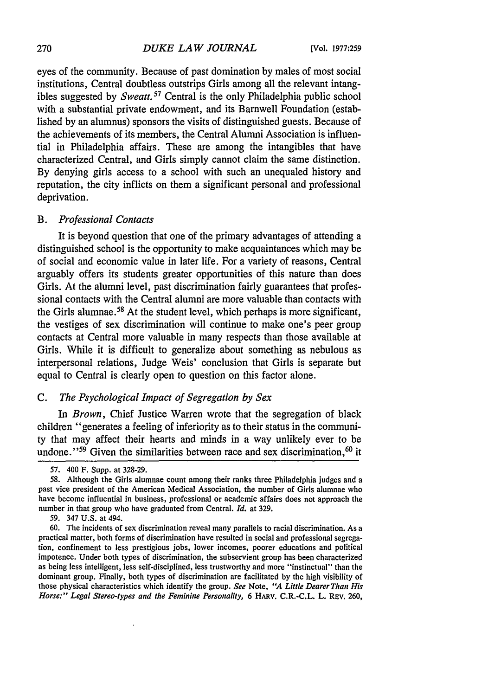eyes of the community. Because of past domination by males of most social institutions, Central doubtless outstrips Girls among all the relevant intangibles suggested by *Sweatt.<sup>57</sup>* Central is the only Philadelphia public school with a substantial private endowment, and its Barnwell Foundation (established by an alumnus) sponsors the visits of distinguished guests. Because of the achievements of its members, the Central Alumni Association is influential in Philadelphia affairs. These are among the intangibles that have characterized Central, and Girls simply cannot claim the same distinction. By denying girls access to a school with such an unequaled history and reputation, the city inflicts on them a significant personal and professional deprivation.

#### *B. Professional Contacts*

It is beyond question that one of the primary advantages of attending a distinguished school is the opportunity to make acquaintances which may be of social and economic value in later life. For a variety of reasons, Central arguably offers its students greater opportunities of this nature than does Girls. At the alumni level, past discrimination fairly guarantees that professional contacts with the Central alumni are more valuable than contacts with the Girls alumnae. 58 At the student level, which perhaps is more significant, the vestiges of sex discrimination will continue to make one's peer group contacts at Central more valuable in many respects than those available at Girls. While it is difficult to generalize about something as nebulous as interpersonal relations, Judge Weis' conclusion that Girls is separate but equal to Central is clearly open to question on this factor alone.

#### *C. The Psychological Impact of Segregation by Sex*

In *Brown,* Chief Justice Warren wrote that the segregation of black children "generates a feeling of inferiority as to their status in the community that may affect their hearts and minds in a way unlikely ever to be undone."<sup>59</sup> Given the similarities between race and sex discrimination,<sup>60</sup> it

<sup>57. 400</sup> F. Supp. at 328-29.

*<sup>58.</sup>* Although the Girls alumnae count among their ranks three Philadelphia judges and a past vice president of the American Medical Association, the number of Girls alumnae who have become influential in business, professional or academic affairs does not approach the number in that group who have graduated from Central. *Id.* at 329.

<sup>59. 347</sup> U.S. at 494.

<sup>60.</sup> The incidents of sex discrimination reveal many parallels to racial discrimination. As a practical matter, both forms of discrimination have resulted in social and professional segregation, confinement to less prestigious jobs, lower incomes, poorer educations and political impotence. Under both types of discrimination, the subservient group has been characterized as being less intelligent, less self-disciplined, less trustworthy and more "instinctual" than the dominant group. Finally, both types of discrimination are facilitated by the high visibility of those physical characteristics which identify the group. *See* Note, *"A Little Dearer Than His Horse:" Legal Stereo-types and the Feminine Personality,* 6 HARV. C.R.-C.L. L. REV. 260,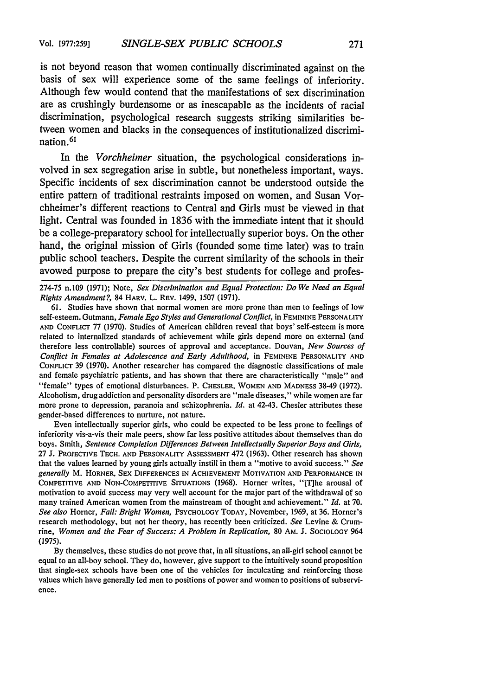is not beyond reason that women continually discriminated against on the basis of sex will experience some of the same feelings of inferiority. Although few would contend that the manifestations of sex discrimination are as crushingly burdensome or as inescapable as the incidents of racial discrimination, psychological research suggests striking similarities between women and blacks in the consequences of institutionalized discrimination. <sup>61</sup>

In the *Vorchheimer* situation, the psychological considerations involved in sex segregation arise in subtle, but nonetheless important, ways. Specific incidents of sex discrimination cannot be understood outside the entire pattern of traditional restraints imposed on women, and Susan Vorchheimer's different reactions to Central and Girls must be viewed in that light. Central was founded in **1836** with the immediate intent that it should be a college-preparatory school for intellectually superior boys. On the other hand, the original mission of Girls (founded some time later) was to train public school teachers. Despite the current similarity of the schools in their avowed purpose to prepare the city's best students for college and profes-

61. Studies have shown that normal women are more prone than men to feelings of low self-esteem. Gutmann, *Female Ego Styles and Generational Conflict,* in FEMININE **PERSONALITY AND** CONFLICT **77 (1970).** Studies of American children reveal that boys' self-esteem is more related to internalized standards of achievement while girls depend more on external (and therefore less controllable) sources of approval and acceptance. Douvan, *New Sources of Conflict in Females at Adolescence and Early Adulthood,* in **FEMININE** PERSONALITY **AND** CONFLICT 39 (1970). Another researcher has compared the diagnostic classifications of male and female psychiatric patients, and has shown that there are characteristically "male" and "female" types of emotional disturbances. P. CHESLER, WOMEN **AND** MADNESS 38-49 (1972). Alcoholism, drug addiction and personality disorders are "male diseases," while women are far more prone to depression, paranoia and schizophrenia. *Id.* at 42-43. Chesler attributes these gender-based differences to nurture, not nature.

Even intellectually superior girls, who could be expected to be less prone to feelings of inferiority vis-a-vis their male peers, show far less positive attitudes about themselves than do boys. Smith, *Sentence Completion Differences Between Intellectually Superior Boys and Girls,* 27 J. **PROJECTIVE TECH. AND** PERSONALITY ASSESSMENT 472 (1963). Other research has shown that the values learned by young girls actually instill in them a "motive to avoid success." *See generally* M. HORNER, SEX **DIFFERENCES IN ACHIEVEMENT MOTIVATION AND** PERFORMANCE **IN** COMPETITIVE **AND NON-COMPETITIVE SITUATIONS** (1968). Homer writes, "[Tihe arousal of motivation to avoid success may very well account for the major part of the withdrawal of so many trained American women from the mainstream of thought and achievement." *Id.* at 70. *See also* Homer, *Fail: Bright Women,* PSYCHOLOGY TODAY, November, 1969, at 36. Homer's research methodology, but not her theory, has recently been criticized. *See* Levine & Crumrine, *Women and the Fear of Success: A Problem in Replication,* 80 AM. J. **SOCIOLOGY** 964 (1975).

By themselves, these studies do not prove that, in all situations, an all-girl school cannot be equal to an all-boy school. They do, however, give support to the intuitively sound proposition that single-sex schools have been one of the vehicles for inculcating and reinforcing those values which have generally led men to positions of power and women to positions **of** subservience.

**<sup>274-75</sup>** n. **109** (1971); Note, *Sex Discrimination and Equal Protection: Do We Need an Equal Rights Amendment?,* 84 **HARV.** L. REV. 1499, **1507** (1971).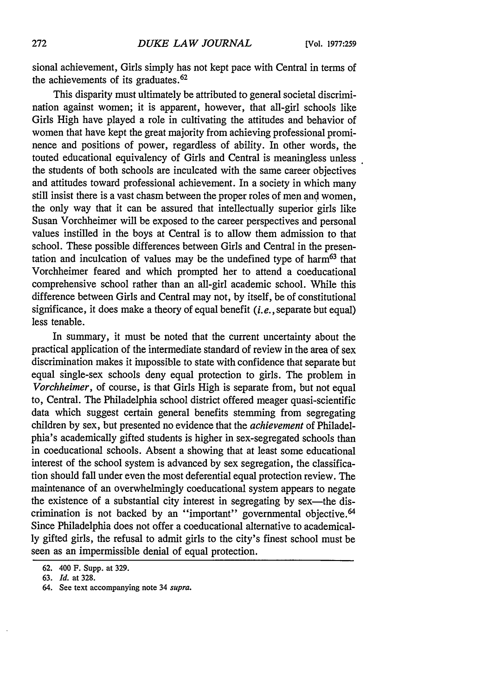sional achievement, Girls simply has not kept pace with Central in terms of the achievements of its graduates. <sup>62</sup>

This disparity must ultimately be attributed to general societal discrimination against women; it is apparent, however, that all-girl schools like Girls High have played a role in cultivating the attitudes and behavior of women that have kept the great majority from achieving professional prominence and positions of power, regardless of ability. In other words, the touted educational equivalency of Girls and Central is meaningless unless the students of both schools are inculcated with the same career objectives and attitudes toward professional achievement. In a society in which many still insist there is a vast chasm between the proper roles of men and women, the only way that it can be assured that intellectually superior girls like Susan Vorchheimer will be exposed to the career perspectives and personal values instilled in the boys at Central is to allow them admission to that school. These possible differences between Girls and Central in the presentation and inculcation of values may be the undefined type of harm<sup>63</sup> that Vorchheimer feared and which prompted her to attend a coeducational comprehensive school rather than an all-girl academic school. While this difference between Girls and Central may not, by itself, be of constitutional significance, it does make a theory of equal benefit *(i.e.,* separate but equal) less tenable.

In summary, it must be noted that the current uncertainty about the practical application of the intermediate standard of review in the area of sex discrimination makes it impossible to state with confidence that separate but equal single-sex schools deny equal protection to girls. The problem in *Vorchheimer,* of course, is that Girls High is separate from, but not equal to, Central. The Philadelphia school district offered meager quasi-scientific data which suggest certain general benefits stemming from segregating children by sex, but presented no evidence that the *achievement* of Philadelphia's academically gifted students is higher in sex-segregated schools than in coeducational schools. Absent a showing that at least some educational interest of the school system is advanced by sex segregation, the classification should fall under even the most deferential equal protection review. The maintenance of an overwhelmingly coeducational system appears to negate the existence of a substantial city interest in segregating by sex-the discrimination is not backed by an "important" governmental objective.<sup>64</sup> Since Philadelphia does not offer a coeducational alternative to academically gifted girls, the refusal to admit girls to the city's finest school must be seen as an impermissible denial of equal protection.

<sup>62. 400</sup> F. Supp. at 329.

<sup>63.</sup> *Id.* at 328.

<sup>64.</sup> See text accompanying note 34 *supra.*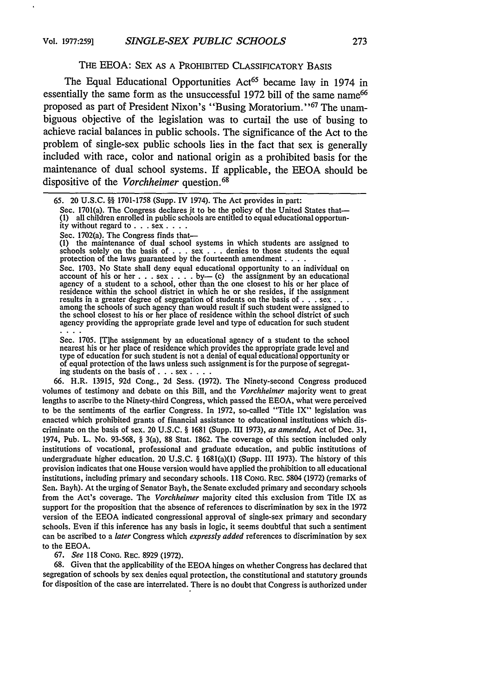#### THE EEOA: SEX AS A PROHIBITED CLASSIFICATORY BASIS

The Equal Educational Opportunities Act<sup>65</sup> became law in 1974 in essentially the same form as the unsuccessful 1972 bill of the same name<sup>66</sup> proposed as part of President Nixon's "Busing Moratorium.' **'67** The unambiguous objective of the legislation was to curtail the use of busing to achieve racial balances in public schools. The significance of the Act to the problem of single-sex public schools lies in the fact that sex is generally included with race, color and national origin as a prohibited basis for the maintenance of dual school systems. If applicable, the EEOA should be dispositive of the *Vorchheimer* question.<sup>68</sup>

Sec. 1701(a). The Congress declares jt to be the policy of the United States that- **(1)** all children enrolled in public schools are entitled to equal educational opportunity without regard **to. .** . sex **....**

Sec. 1702(a). The Congress finds that-

**(1)** the maintenance of dual school systems in which students are assigned to schools solely on the basis of . . . sex . . . denies to those students the equal protection of the laws guaranteed by the fourteenth amendment **....**

Sec. 1703. No State shall deny equal educational opportunity to an individual on account of his or her **.** . . sex **.** . . . by - (c) the assignment by an educational agency of a student to a school, other than the one closest to his or her place of residence within the school district in which he or she resides, if the assignment results in a greater degree of segregation of students on the basis of  $\dots$  sex  $\dots$ among the schools of such agency than would result if such student were assigned to the school closest to his or her place of residence within the school district of such agency providing the appropriate grade level and type of education for such student in an

Sec. 1705. [Tlhe assignment by an educational agency of a student to the school nearest his or her place of residence which provides the appropriate grade level and type of education for such student is not a denial of equal educational opportunity or of equal protection of the laws unless such assignment is for the purpose of segregating students on the basis of **. .** . sex **....**

66. H.R. 13915, 92d Cong., 2d Sess. (1972). The Ninety-second Congress produced volumes of testimony and debate on this Bill, and the *Vorchheimer* majority went to great lengths to ascribe to the Ninety-third Congress, which passed the EEOA, what were perceived to be the sentiments of the earlier Congress. In 1972, so-called "Title IX" legislation was enacted which prohibited grants of financial assistance to educational institutions which discriminate on the basis of sex. 20 U.S.C. § 1681 (Supp. III 1973), *as amended,* Act of Dec. 31, 1974, Pub. L. No. 93-568, § 3(a), 88 Stat. 1862. The coverage of this section included only institutions of vocational, professional and graduate education, and public institutions of undergraduate higher education. 20 U.S.C. § 1681(a)(1) (Supp. III 1973). The history of this provision indicates that one House version would have applied the prohibition to all educational institutions, including primary and secondary schools. 118 **CONG.** REC. 5804 (1972) (remarks of Sen. Bayh). At the urging of Senator Bayh, the Senate excluded primary and secondary schools from the Act's coverage. The *Vorchheimer* majority cited this exclusion from Title IX as support for the proposition that the absence of references to discrimination by sex in the 1972 version of the EEOA indicated congressional approval of single-sex primary and secondary schools. Even if this inference has any basis in logic, it seems doubtful that such a sentiment can be ascribed to a *later* Congress which *expressly added* references to discrimination by sex to the EEOA.

67. *See* 118 **CONG.** REC. 8929 (1972).

68. Given that the applicability of the EEOA hinges on whether Congress has declared that segregation of schools by sex denies equal protection, the constitutional and statutory grounds for disposition of the case are interrelated. There is no doubt that Congress is authorized under

<sup>65. 20</sup> U.S.C. §§ 1701-1758 (Supp. IV 1974). The Act provides in part: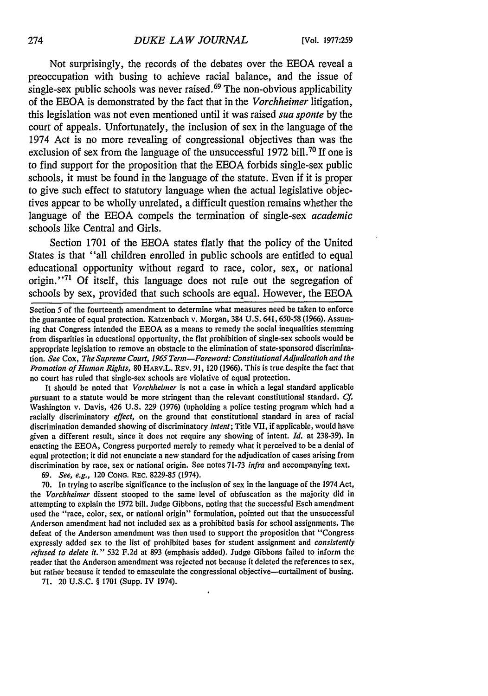Not surprisingly, the records of the debates over the **EEOA** reveal a preoccupation with busing to achieve racial balance, and the issue of  $\sin$ gle-sex public schools was never raised.<sup>69</sup> The non-obvious applicability of the **EEOA** is demonstrated **by** the fact that in the *Vorchheimer* litigation, this legislation was not even mentioned until it was raised *sua sponte* **by** the court of appeals. Unfortunately, the inclusion of sex in the language of the 1974 Act is no more revealing of congressional objectives than was the exclusion of sex from the language of the unsuccessful **1972** bill. <sup>70</sup>**If** one is to find support for the proposition that the **EEOA** forbids single-sex public schools, it must be found in the language of the statute. Even if it is proper to give such effect to statutory language when the actual legislative objectives appear to be wholly unrelated, a difficult question remains whether the language of the **EEOA** compels the termination of single-sex *academic* schools like Central and Girls.

Section **1701** of the **EEOA** states flatly that the policy of the United States is that "all children enrolled in public schools are entitled to equal educational opportunity without regard to race, color, sex, or national origin.''71 **Of** itself, this language does not rule out the segregation of schools **by** sex, provided that such schools are equal. However, the **EEOA**

Section 5 of the fourteenth amendment to determine what measures need be taken to enforce the guarantee of equal protection. Katzenbach v. Morgan, 384 U.S. 641, 650-58 (1966). Assuming that Congress intended the EEOA as a means to remedy the social inequalities stemming from disparities in educational opportunity, the flat prohibition of single-sex schools would be appropriate legislation to remove an obstacle to the elimination of state-sponsored discrimination. *See* Cox, *The Supreme Court, 1965 Term-Foreword: Constitutional Adjudicatioh and the Promotion of Human Rights,* **80 HARV.L.** REv. **91,** 120 **(1966).** This is true despite the fact that no court has ruled that single-sex schools are violative of equal protection.

It should be noted that *Vorchheimer* is not a case in which a legal standard applicable pursuant to a statute would be more stringent than the relevant constitutional standard. *Cf.* Washington v. Davis, 426 **U.S. 229 (1976)** (upholding a police testing program which had **a** racially discriminatory *effect,* on the ground that constitutional standard in area of racial discrimination demanded showing of discriminatory *intent;* Title VII, if applicable, would have given a different result, since it does not require any showing of intent. *Id.* at **238-39).** In enacting the **EEOA,** Congress purported merely to remedy what it perceived to be a denial of equal protection; it did not enunciate a new standard for the adjudication of cases arising from discrimination **by** race, sex or national origin. See notes **71-73** *infra* and accompanying text.

**69.** *See, e.g.,* 120 **CONG.** REc. **8229-85** (1974).

**70.** In trying to ascribe significance to the inclusion of sex in the language of the 1974 Act, the *Vorchheimer* dissent stooped to the same level of obfuscation as the majority did in attempting to explain the **1972** bill. Judge Gibbons, noting that the successful Esch amendment used the "race, color, sex, or national origin" formulation, pointed out that the unsuccessful Anderson amendment had not included sex as a prohibited basis for school assignments. The defeat of the Anderson amendment was then used to support the proposition that "Congress expressly added sex to the list of prohibited bases for student assignment and *consistently refused to delete it."* **532 F.2d** at **893** (emphasis added). Judge Gibbons failed to inform the reader that the Anderson amendment was rejected not because it deleted the references to sex, but rather because it tended to emasculate the congressional objective-curtailment of busing.

**71.** 20 **U.S.C.** § **1701** (Supp. IV 1974).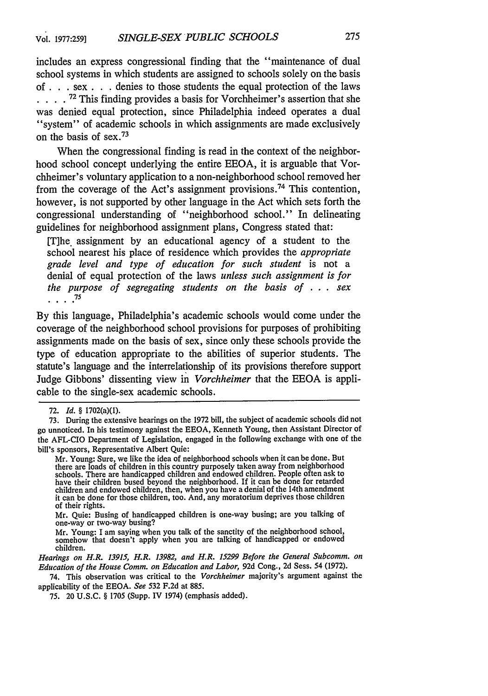includes an express congressional finding that the "maintenance of dual school systems in which students are assigned to schools solely on the basis of **. .** .sex **. .** denies to those students the equal protection of the laws **... .72** This finding provides a basis for Vorchheimer's assertion that she was denied equal protection, since Philadelphia indeed operates a dual "system" of academic schools in which assignments are made exclusively on the basis of sex. <sup>73</sup>

When the congressional finding is read in the context of the neighborhood school concept underlying the entire EEOA, it is arguable that Vorchheimer's voluntary application to a non-neighborhood school removed her from the coverage of the Act's assignment provisions.<sup>74</sup> This contention, however, is not supported by other language in the Act which sets forth the congressional understanding of "neighborhood school." In delineating guidelines for neighborhood assignment plans, Congress stated that:

[T]he. assignment by an educational agency of a student to the school nearest his place of residence which provides the *appropriate grade level and type of education for such student* is not a denial of equal protection of the laws *unless such assignment is for the purpose of segregating students on the basis of* .**.** . *sex* **75**

By this language, Philadelphia's academic schools would come under the coverage of the neighborhood school provisions for purposes of prohibiting assignments made on the basis of sex, since only these schools provide the type of education appropriate to the abilities of superior students. The statute's language and the interrelationship of its provisions therefore support Judge Gibbons' dissenting view in *Vorchheimer* that the EEOA is applicable to the single-sex academic schools.

Mr. Young: Sure, we like the idea of neighborhood schools when it can be done. But there are loads of children in this country purposely taken away from neighborhood schools. There are handicapped children and endowed children. People often ask to have their children bused beyond the neighborhood. If it can be done for retarded children and endowed children, then, when you have a denial of the 14th amendment it can be done for those children, too. And, any moratorium deprives those children of their rights.

Mr. Quie: Busing of handicapped children is one-way busing; are you talking of one-way or two-way busing?

Mr. Young: I am saying when you talk of the sanctity of the neighborhood school, somehow that doesn't apply when you are talking of handicapped or endowed children.

*Hearings on H.R. 13915, H.R. 13982, and H.R. 15299 Before the General Subcomm. on Education of the House Comm. on Education and Labor,* 92d Cong., 2d Sess. 54 (1972).

74. This observation was critical to the *Vorchheimer* majority's argument against the applicability of the EEOA. *See* 532 F.2d at 885.

75. 20 U.S.C. § 1705 (Supp. IV 1974) (emphasis added).

<sup>72.</sup> *Id. §* 1702(a)(1).

<sup>73.</sup> During the extensive hearings on the 1972 bill, the subject of academic schools did not go unnoticed. In his testimony against the EEOA, Kenneth Young, then Assistant Director of the AFL-CIO Department of Legislation, engaged in the following exchange with one of the bill's sponsors, Representative Albert Quie: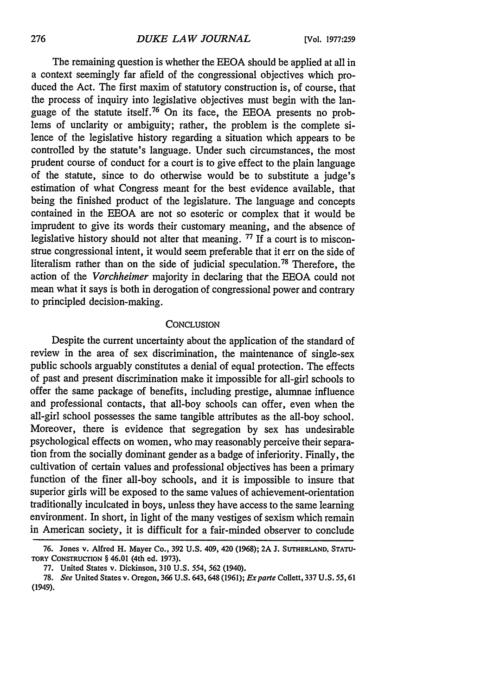The remaining question is whether the EEOA should be applied at all in a context seemingly far afield of the congressional objectives which produced the Act. The first maxim of statutory construction is, of course, that the process of inquiry into legislative objectives must begin with the language of the statute itself.<sup>76</sup> On its face, the EEOA presents no problems of unclarity or ambiguity; rather, the problem is the complete silence of the legislative history regarding a situation which appears to be controlled by the statute's language. Under such circumstances, the most prudent course of conduct for a court is to give effect to the plain language of the statute, since to do otherwise would be to substitute a judge's estimation of what Congress meant for the best evidence available, that being the finished product of the legislature. The language and concepts contained in the EEOA are not so esoteric or complex that it would be imprudent to give its words their customary meaning, and the absence of legislative history should not alter that meaning. **77** If a court is to misconstrue congressional intent, it would seem preferable that it err on the side of literalism rather than on the side of judicial speculation. 78 Therefore, the action of the *Vorchheimer* majority in declaring that the EEOA could not mean what it says is both in derogation of congressional power and contrary to principled decision-making.

#### **CONCLUSION**

Despite the current uncertainty about the application of the standard of review in the area of sex discrimination, the maintenance of single-sex public schools arguably constitutes a denial of equal protection. The effects of past and present discrimination make it impossible for all-girl schools to offer the same package of benefits, including prestige, alumnae influence and professional contacts, that all-boy schools can offer, even when the all-girl school possesses the same tangible attributes as the all-boy school. Moreover, there is evidence that segregation by sex has undesirable psychological effects on women, who may reasonably perceive their separation from the socially dominant gender as a badge of inferiority. Finally, the cultivation of certain values and professional objectives has been a primary function of the finer all-boy schools, and it is impossible to insure that superior girls will be exposed to the same values of achievement-orientation traditionally inculcated in boys, unless they have access to the same learning environment. In short, in light of the many vestiges of sexism which remain in American society, it is difficult for a fair-minded observer to conclude

**<sup>76.</sup>** Jones **v.** Alfred **H.** Mayer **Co., 392 U.S.** 409, 420 **(1968);** 2A **J. SUTHERLAND,** STATU-TORY CONSTRUCTION § 46.01 (4th ed. 1973).

<sup>77.</sup> United States v. Dickinson, 310 U.S. 554, **562** (1940).

<sup>78.</sup> *See* United States v. Oregon, 366 U.S. 643,648 (1961); *Exparte* Collett, 337 U.S. 55,61 (1949).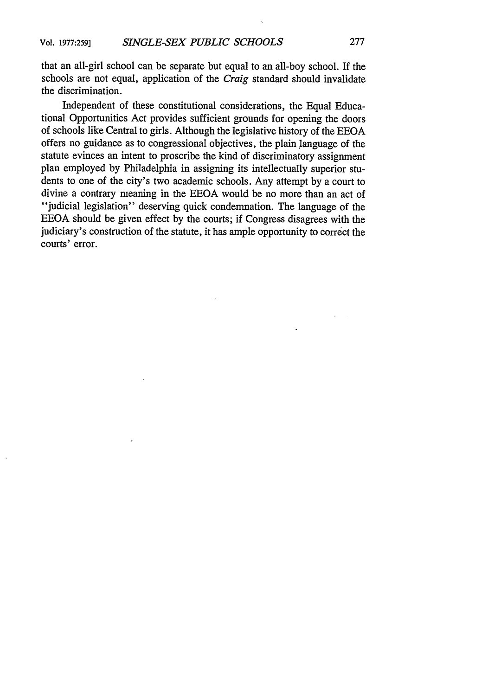that an all-girl school can be separate but equal to an all-boy school. If the schools are not equal, application of the *Craig* standard should invalidate the discrimination.

Independent of these constitutional considerations, the Equal Educational Opportunities Act provides sufficient grounds for opening the doors of schools like Central to girls. Although the legislative history of the EEOA offers no guidance as to congressional objectives, the plain language of the statute evinces an intent to proscribe the kind of discriminatory assignment plan employed by Philadelphia in assigning its intellectually superior students to one of the city's two academic schools. Any attempt by a court to divine a contrary meaning in the EEOA would be no more than an act of "judicial legislation" deserving quick condemnation. The language of the EEOA should be given effect by the courts; if Congress disagrees with the judiciary's construction of the statute, it has ample opportunity to correct the courts' error.